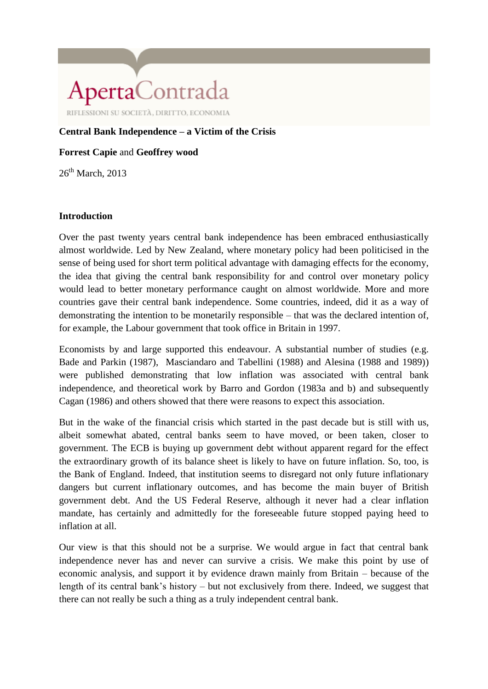

**Central Bank Independence – a Victim of the Crisis**

**Forrest Capie** and **Geoffrey wood**

 $26^{th}$  March, 2013

### **Introduction**

Over the past twenty years central bank independence has been embraced enthusiastically almost worldwide. Led by New Zealand, where monetary policy had been politicised in the sense of being used for short term political advantage with damaging effects for the economy, the idea that giving the central bank responsibility for and control over monetary policy would lead to better monetary performance caught on almost worldwide. More and more countries gave their central bank independence. Some countries, indeed, did it as a way of demonstrating the intention to be monetarily responsible – that was the declared intention of, for example, the Labour government that took office in Britain in 1997.

Economists by and large supported this endeavour. A substantial number of studies (e.g. Bade and Parkin (1987), Masciandaro and Tabellini (1988) and Alesina (1988 and 1989)) were published demonstrating that low inflation was associated with central bank independence, and theoretical work by Barro and Gordon (1983a and b) and subsequently Cagan (1986) and others showed that there were reasons to expect this association.

But in the wake of the financial crisis which started in the past decade but is still with us, albeit somewhat abated, central banks seem to have moved, or been taken, closer to government. The ECB is buying up government debt without apparent regard for the effect the extraordinary growth of its balance sheet is likely to have on future inflation. So, too, is the Bank of England. Indeed, that institution seems to disregard not only future inflationary dangers but current inflationary outcomes, and has become the main buyer of British government debt. And the US Federal Reserve, although it never had a clear inflation mandate, has certainly and admittedly for the foreseeable future stopped paying heed to inflation at all.

Our view is that this should not be a surprise. We would argue in fact that central bank independence never has and never can survive a crisis. We make this point by use of economic analysis, and support it by evidence drawn mainly from Britain – because of the length of its central bank's history – but not exclusively from there. Indeed, we suggest that there can not really be such a thing as a truly independent central bank.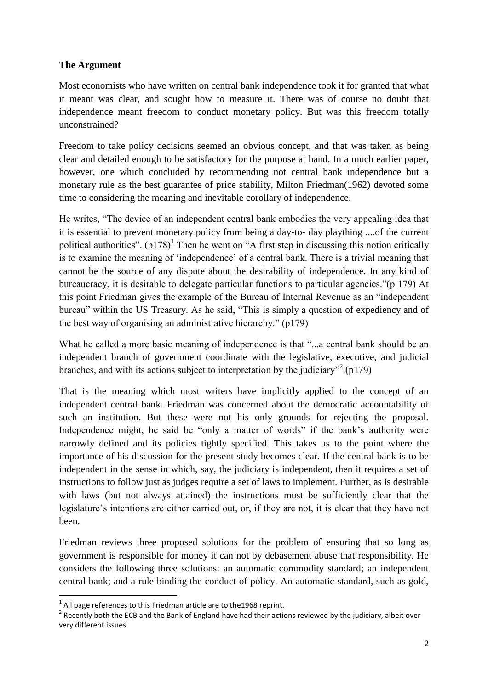## **The Argument**

Most economists who have written on central bank independence took it for granted that what it meant was clear, and sought how to measure it. There was of course no doubt that independence meant freedom to conduct monetary policy. But was this freedom totally unconstrained?

Freedom to take policy decisions seemed an obvious concept, and that was taken as being clear and detailed enough to be satisfactory for the purpose at hand. In a much earlier paper, however, one which concluded by recommending not central bank independence but a monetary rule as the best guarantee of price stability, Milton Friedman(1962) devoted some time to considering the meaning and inevitable corollary of independence.

He writes, "The device of an independent central bank embodies the very appealing idea that it is essential to prevent monetary policy from being a day-to- day plaything ....of the current political authorities".  $(p178)^1$  Then he went on "A first step in discussing this notion critically is to examine the meaning of 'independence' of a central bank. There is a trivial meaning that cannot be the source of any dispute about the desirability of independence. In any kind of bureaucracy, it is desirable to delegate particular functions to particular agencies."(p 179) At this point Friedman gives the example of the Bureau of Internal Revenue as an "independent bureau" within the US Treasury. As he said, "This is simply a question of expediency and of the best way of organising an administrative hierarchy." (p179)

What he called a more basic meaning of independence is that "...a central bank should be an independent branch of government coordinate with the legislative, executive, and judicial branches, and with its actions subject to interpretation by the judiciary"<sup>2</sup>.(p179)

That is the meaning which most writers have implicitly applied to the concept of an independent central bank. Friedman was concerned about the democratic accountability of such an institution. But these were not his only grounds for rejecting the proposal. Independence might, he said be "only a matter of words" if the bank's authority were narrowly defined and its policies tightly specified. This takes us to the point where the importance of his discussion for the present study becomes clear. If the central bank is to be independent in the sense in which, say, the judiciary is independent, then it requires a set of instructions to follow just as judges require a set of laws to implement. Further, as is desirable with laws (but not always attained) the instructions must be sufficiently clear that the legislature's intentions are either carried out, or, if they are not, it is clear that they have not been.

Friedman reviews three proposed solutions for the problem of ensuring that so long as government is responsible for money it can not by debasement abuse that responsibility. He considers the following three solutions: an automatic commodity standard; an independent central bank; and a rule binding the conduct of policy. An automatic standard, such as gold,

**.** 

 $1$  All page references to this Friedman article are to the 1968 reprint.

 $2$  Recently both the ECB and the Bank of England have had their actions reviewed by the judiciary, albeit over very different issues.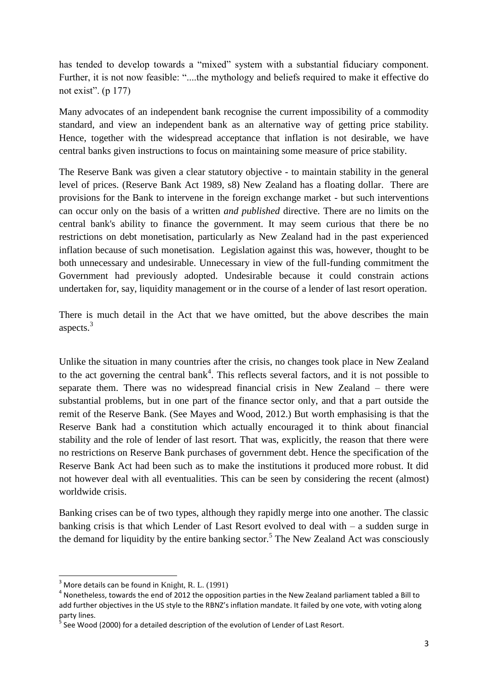has tended to develop towards a "mixed" system with a substantial fiduciary component. Further, it is not now feasible: "....the mythology and beliefs required to make it effective do not exist". (p 177)

Many advocates of an independent bank recognise the current impossibility of a commodity standard, and view an independent bank as an alternative way of getting price stability. Hence, together with the widespread acceptance that inflation is not desirable, we have central banks given instructions to focus on maintaining some measure of price stability.

The Reserve Bank was given a clear statutory objective - to maintain stability in the general level of prices. (Reserve Bank Act 1989, s8) New Zealand has a floating dollar. There are provisions for the Bank to intervene in the foreign exchange market - but such interventions can occur only on the basis of a written *and published* directive. There are no limits on the central bank's ability to finance the government. It may seem curious that there be no restrictions on debt monetisation, particularly as New Zealand had in the past experienced inflation because of such monetisation. Legislation against this was, however, thought to be both unnecessary and undesirable. Unnecessary in view of the full-funding commitment the Government had previously adopted. Undesirable because it could constrain actions undertaken for, say, liquidity management or in the course of a lender of last resort operation.

There is much detail in the Act that we have omitted, but the above describes the main aspects.<sup>3</sup>

Unlike the situation in many countries after the crisis, no changes took place in New Zealand to the act governing the central bank<sup>4</sup>. This reflects several factors, and it is not possible to separate them. There was no widespread financial crisis in New Zealand – there were substantial problems, but in one part of the finance sector only, and that a part outside the remit of the Reserve Bank. (See Mayes and Wood, 2012.) But worth emphasising is that the Reserve Bank had a constitution which actually encouraged it to think about financial stability and the role of lender of last resort. That was, explicitly, the reason that there were no restrictions on Reserve Bank purchases of government debt. Hence the specification of the Reserve Bank Act had been such as to make the institutions it produced more robust. It did not however deal with all eventualities. This can be seen by considering the recent (almost) worldwide crisis.

Banking crises can be of two types, although they rapidly merge into one another. The classic banking crisis is that which Lender of Last Resort evolved to deal with – a sudden surge in the demand for liquidity by the entire banking sector.<sup>5</sup> The New Zealand Act was consciously

 $\overline{a}$ 

 $3$  More details can be found in Knight, R. L. (1991)

 $<sup>4</sup>$  Nonetheless, towards the end of 2012 the opposition parties in the New Zealand parliament tabled a Bill to</sup> add further objectives in the US style to the RBNZ's inflation mandate. It failed by one vote, with voting along party lines.

 $5$  See Wood (2000) for a detailed description of the evolution of Lender of Last Resort.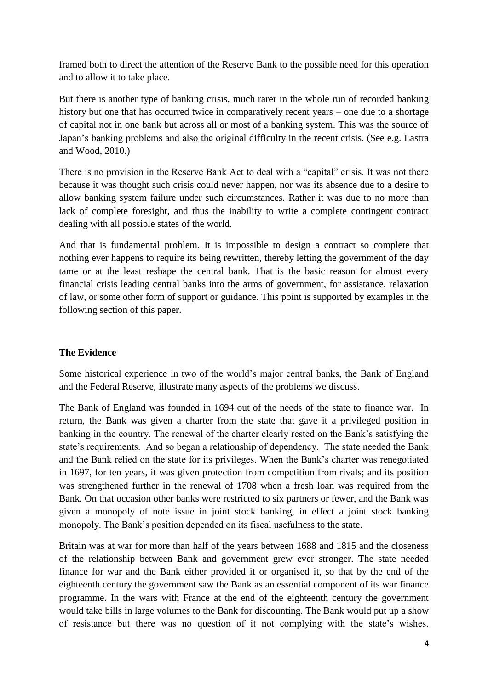framed both to direct the attention of the Reserve Bank to the possible need for this operation and to allow it to take place.

But there is another type of banking crisis, much rarer in the whole run of recorded banking history but one that has occurred twice in comparatively recent years – one due to a shortage of capital not in one bank but across all or most of a banking system. This was the source of Japan's banking problems and also the original difficulty in the recent crisis. (See e.g. Lastra and Wood, 2010.)

There is no provision in the Reserve Bank Act to deal with a "capital" crisis. It was not there because it was thought such crisis could never happen, nor was its absence due to a desire to allow banking system failure under such circumstances. Rather it was due to no more than lack of complete foresight, and thus the inability to write a complete contingent contract dealing with all possible states of the world.

And that is fundamental problem. It is impossible to design a contract so complete that nothing ever happens to require its being rewritten, thereby letting the government of the day tame or at the least reshape the central bank. That is the basic reason for almost every financial crisis leading central banks into the arms of government, for assistance, relaxation of law, or some other form of support or guidance. This point is supported by examples in the following section of this paper.

# **The Evidence**

Some historical experience in two of the world's major central banks, the Bank of England and the Federal Reserve, illustrate many aspects of the problems we discuss.

The Bank of England was founded in 1694 out of the needs of the state to finance war. In return, the Bank was given a charter from the state that gave it a privileged position in banking in the country. The renewal of the charter clearly rested on the Bank's satisfying the state's requirements. And so began a relationship of dependency. The state needed the Bank and the Bank relied on the state for its privileges. When the Bank's charter was renegotiated in 1697, for ten years, it was given protection from competition from rivals; and its position was strengthened further in the renewal of 1708 when a fresh loan was required from the Bank. On that occasion other banks were restricted to six partners or fewer, and the Bank was given a monopoly of note issue in joint stock banking, in effect a joint stock banking monopoly. The Bank's position depended on its fiscal usefulness to the state.

Britain was at war for more than half of the years between 1688 and 1815 and the closeness of the relationship between Bank and government grew ever stronger. The state needed finance for war and the Bank either provided it or organised it, so that by the end of the eighteenth century the government saw the Bank as an essential component of its war finance programme. In the wars with France at the end of the eighteenth century the government would take bills in large volumes to the Bank for discounting. The Bank would put up a show of resistance but there was no question of it not complying with the state's wishes.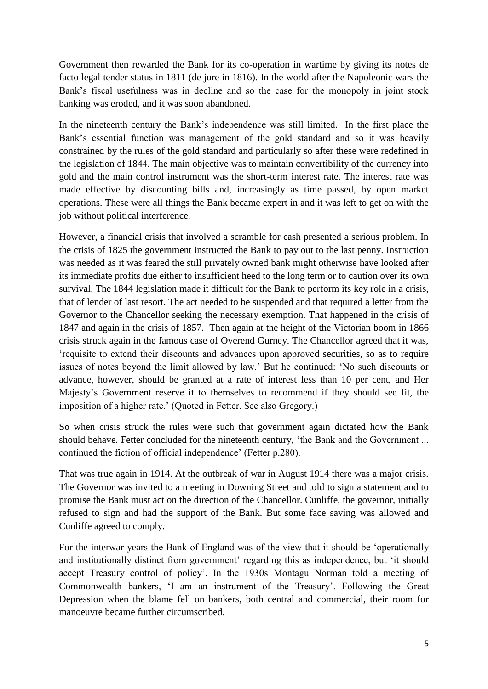Government then rewarded the Bank for its co-operation in wartime by giving its notes de facto legal tender status in 1811 (de jure in 1816). In the world after the Napoleonic wars the Bank's fiscal usefulness was in decline and so the case for the monopoly in joint stock banking was eroded, and it was soon abandoned.

In the nineteenth century the Bank's independence was still limited. In the first place the Bank's essential function was management of the gold standard and so it was heavily constrained by the rules of the gold standard and particularly so after these were redefined in the legislation of 1844. The main objective was to maintain convertibility of the currency into gold and the main control instrument was the short-term interest rate. The interest rate was made effective by discounting bills and, increasingly as time passed, by open market operations. These were all things the Bank became expert in and it was left to get on with the job without political interference.

However, a financial crisis that involved a scramble for cash presented a serious problem. In the crisis of 1825 the government instructed the Bank to pay out to the last penny. Instruction was needed as it was feared the still privately owned bank might otherwise have looked after its immediate profits due either to insufficient heed to the long term or to caution over its own survival. The 1844 legislation made it difficult for the Bank to perform its key role in a crisis, that of lender of last resort. The act needed to be suspended and that required a letter from the Governor to the Chancellor seeking the necessary exemption. That happened in the crisis of 1847 and again in the crisis of 1857. Then again at the height of the Victorian boom in 1866 crisis struck again in the famous case of Overend Gurney. The Chancellor agreed that it was, 'requisite to extend their discounts and advances upon approved securities, so as to require issues of notes beyond the limit allowed by law.' But he continued: 'No such discounts or advance, however, should be granted at a rate of interest less than 10 per cent, and Her Majesty's Government reserve it to themselves to recommend if they should see fit, the imposition of a higher rate.' (Quoted in Fetter. See also Gregory.)

So when crisis struck the rules were such that government again dictated how the Bank should behave. Fetter concluded for the nineteenth century, 'the Bank and the Government ... continued the fiction of official independence' (Fetter p.280).

That was true again in 1914. At the outbreak of war in August 1914 there was a major crisis. The Governor was invited to a meeting in Downing Street and told to sign a statement and to promise the Bank must act on the direction of the Chancellor. Cunliffe, the governor, initially refused to sign and had the support of the Bank. But some face saving was allowed and Cunliffe agreed to comply.

For the interwar years the Bank of England was of the view that it should be 'operationally and institutionally distinct from government' regarding this as independence, but 'it should accept Treasury control of policy'. In the 1930s Montagu Norman told a meeting of Commonwealth bankers, 'I am an instrument of the Treasury'. Following the Great Depression when the blame fell on bankers, both central and commercial, their room for manoeuvre became further circumscribed.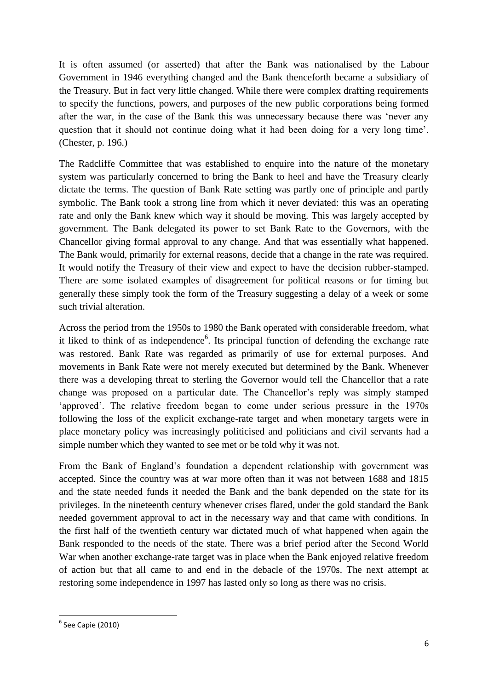It is often assumed (or asserted) that after the Bank was nationalised by the Labour Government in 1946 everything changed and the Bank thenceforth became a subsidiary of the Treasury. But in fact very little changed. While there were complex drafting requirements to specify the functions, powers, and purposes of the new public corporations being formed after the war, in the case of the Bank this was unnecessary because there was 'never any question that it should not continue doing what it had been doing for a very long time'. (Chester, p. 196.)

The Radcliffe Committee that was established to enquire into the nature of the monetary system was particularly concerned to bring the Bank to heel and have the Treasury clearly dictate the terms. The question of Bank Rate setting was partly one of principle and partly symbolic. The Bank took a strong line from which it never deviated: this was an operating rate and only the Bank knew which way it should be moving. This was largely accepted by government. The Bank delegated its power to set Bank Rate to the Governors, with the Chancellor giving formal approval to any change. And that was essentially what happened. The Bank would, primarily for external reasons, decide that a change in the rate was required. It would notify the Treasury of their view and expect to have the decision rubber-stamped. There are some isolated examples of disagreement for political reasons or for timing but generally these simply took the form of the Treasury suggesting a delay of a week or some such trivial alteration.

Across the period from the 1950s to 1980 the Bank operated with considerable freedom, what it liked to think of as independence<sup>6</sup>. Its principal function of defending the exchange rate was restored. Bank Rate was regarded as primarily of use for external purposes. And movements in Bank Rate were not merely executed but determined by the Bank. Whenever there was a developing threat to sterling the Governor would tell the Chancellor that a rate change was proposed on a particular date. The Chancellor's reply was simply stamped 'approved'. The relative freedom began to come under serious pressure in the 1970s following the loss of the explicit exchange-rate target and when monetary targets were in place monetary policy was increasingly politicised and politicians and civil servants had a simple number which they wanted to see met or be told why it was not.

From the Bank of England's foundation a dependent relationship with government was accepted. Since the country was at war more often than it was not between 1688 and 1815 and the state needed funds it needed the Bank and the bank depended on the state for its privileges. In the nineteenth century whenever crises flared, under the gold standard the Bank needed government approval to act in the necessary way and that came with conditions. In the first half of the twentieth century war dictated much of what happened when again the Bank responded to the needs of the state. There was a brief period after the Second World War when another exchange-rate target was in place when the Bank enjoyed relative freedom of action but that all came to and end in the debacle of the 1970s. The next attempt at restoring some independence in 1997 has lasted only so long as there was no crisis.

 6 See Capie (2010)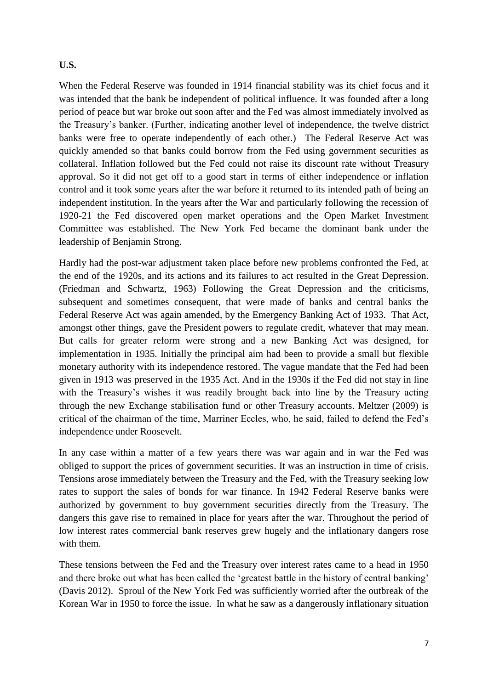#### **U.S.**

When the Federal Reserve was founded in 1914 financial stability was its chief focus and it was intended that the bank be independent of political influence. It was founded after a long period of peace but war broke out soon after and the Fed was almost immediately involved as the Treasury's banker. (Further, indicating another level of independence, the twelve district banks were free to operate independently of each other.) The Federal Reserve Act was quickly amended so that banks could borrow from the Fed using government securities as collateral. Inflation followed but the Fed could not raise its discount rate without Treasury approval. So it did not get off to a good start in terms of either independence or inflation control and it took some years after the war before it returned to its intended path of being an independent institution. In the years after the War and particularly following the recession of 1920-21 the Fed discovered open market operations and the Open Market Investment Committee was established. The New York Fed became the dominant bank under the leadership of Benjamin Strong.

Hardly had the post-war adjustment taken place before new problems confronted the Fed, at the end of the 1920s, and its actions and its failures to act resulted in the Great Depression. (Friedman and Schwartz, 1963) Following the Great Depression and the criticisms, subsequent and sometimes consequent, that were made of banks and central banks the Federal Reserve Act was again amended, by the Emergency Banking Act of 1933. That Act, amongst other things, gave the President powers to regulate credit, whatever that may mean. But calls for greater reform were strong and a new Banking Act was designed, for implementation in 1935. Initially the principal aim had been to provide a small but flexible monetary authority with its independence restored. The vague mandate that the Fed had been given in 1913 was preserved in the 1935 Act. And in the 1930s if the Fed did not stay in line with the Treasury's wishes it was readily brought back into line by the Treasury acting through the new Exchange stabilisation fund or other Treasury accounts. Meltzer (2009) is critical of the chairman of the time, Marriner Eccles, who, he said, failed to defend the Fed's independence under Roosevelt.

In any case within a matter of a few years there was war again and in war the Fed was obliged to support the prices of government securities. It was an instruction in time of crisis. Tensions arose immediately between the Treasury and the Fed, with the Treasury seeking low rates to support the sales of bonds for war finance. In 1942 Federal Reserve banks were authorized by government to buy government securities directly from the Treasury. The dangers this gave rise to remained in place for years after the war. Throughout the period of low interest rates commercial bank reserves grew hugely and the inflationary dangers rose with them.

These tensions between the Fed and the Treasury over interest rates came to a head in 1950 and there broke out what has been called the 'greatest battle in the history of central banking' (Davis 2012). Sproul of the New York Fed was sufficiently worried after the outbreak of the Korean War in 1950 to force the issue. In what he saw as a dangerously inflationary situation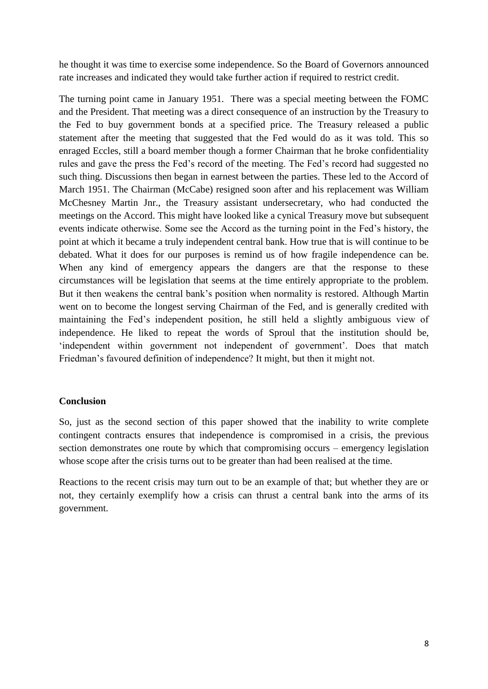he thought it was time to exercise some independence. So the Board of Governors announced rate increases and indicated they would take further action if required to restrict credit.

The turning point came in January 1951. There was a special meeting between the FOMC and the President. That meeting was a direct consequence of an instruction by the Treasury to the Fed to buy government bonds at a specified price. The Treasury released a public statement after the meeting that suggested that the Fed would do as it was told. This so enraged Eccles, still a board member though a former Chairman that he broke confidentiality rules and gave the press the Fed's record of the meeting. The Fed's record had suggested no such thing. Discussions then began in earnest between the parties. These led to the Accord of March 1951. The Chairman (McCabe) resigned soon after and his replacement was William McChesney Martin Jnr., the Treasury assistant undersecretary, who had conducted the meetings on the Accord. This might have looked like a cynical Treasury move but subsequent events indicate otherwise. Some see the Accord as the turning point in the Fed's history, the point at which it became a truly independent central bank. How true that is will continue to be debated. What it does for our purposes is remind us of how fragile independence can be. When any kind of emergency appears the dangers are that the response to these circumstances will be legislation that seems at the time entirely appropriate to the problem. But it then weakens the central bank's position when normality is restored. Although Martin went on to become the longest serving Chairman of the Fed, and is generally credited with maintaining the Fed's independent position, he still held a slightly ambiguous view of independence. He liked to repeat the words of Sproul that the institution should be, 'independent within government not independent of government'. Does that match Friedman's favoured definition of independence? It might, but then it might not.

### **Conclusion**

So, just as the second section of this paper showed that the inability to write complete contingent contracts ensures that independence is compromised in a crisis, the previous section demonstrates one route by which that compromising occurs – emergency legislation whose scope after the crisis turns out to be greater than had been realised at the time.

Reactions to the recent crisis may turn out to be an example of that; but whether they are or not, they certainly exemplify how a crisis can thrust a central bank into the arms of its government.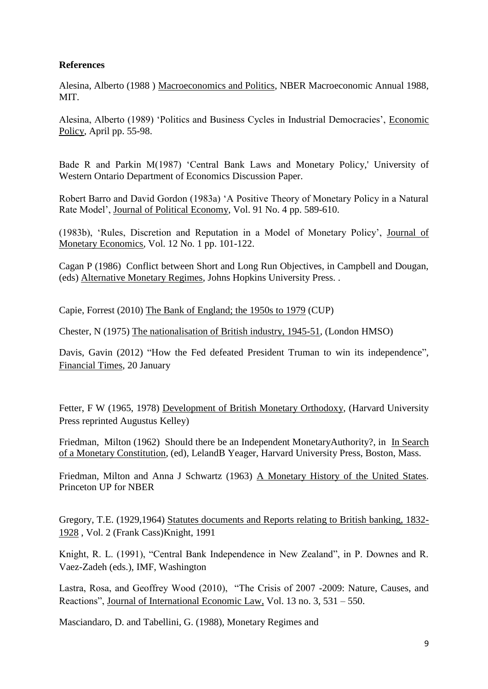### **References**

Alesina, Alberto (1988 ) Macroeconomics and Politics, NBER Macroeconomic Annual 1988*,*  **MIT.** 

Alesina, Alberto (1989) 'Politics and Business Cycles in Industrial Democracies', Economic Policy*,* April pp. 55-98.

Bade R and Parkin M(1987) 'Central Bank Laws and Monetary Policy,' University of Western Ontario Department of Economics Discussion Paper.

Robert Barro and David Gordon (1983a) 'A Positive Theory of Monetary Policy in a Natural Rate Model', Journal of Political Economy*,* Vol. 91 No. 4 pp. 589-610.

(1983b), 'Rules, Discretion and Reputation in a Model of Monetary Policy', Journal of Monetary Economics*,* Vol. 12 No. 1 pp. 101-122.

Cagan P (1986) Conflict between Short and Long Run Objectives, in Campbell and Dougan, (eds) Alternative Monetary Regimes*,* Johns Hopkins University Press. .

Capie, Forrest (2010) The Bank of England; the 1950s to 1979 (CUP)

Chester, N (1975) The nationalisation of British industry, 1945-51, (London HMSO)

Davis, Gavin (2012) "How the Fed defeated President Truman to win its independence", Financial Times, 20 January

Fetter, F W (1965, 1978) Development of British Monetary Orthodoxy, (Harvard University Press reprinted Augustus Kelley)

Friedman, Milton (1962) Should there be an Independent MonetaryAuthority?, in In Search of a Monetary Constitution*,* (ed), LelandB Yeager, Harvard University Press, Boston, Mass.

Friedman, Milton and Anna J Schwartz (1963) A Monetary History of the United States. Princeton UP for NBER

Gregory, T.E. (1929,1964) Statutes documents and Reports relating to British banking, 1832- 1928 , Vol. 2 (Frank Cass)Knight, 1991

Knight, R. L. (1991), "Central Bank Independence in New Zealand", in P. Downes and R. Vaez-Zadeh (eds.), IMF, Washington

Lastra, Rosa, and Geoffrey Wood (2010), "The Crisis of 2007 -2009: Nature, Causes, and Reactions", Journal of International Economic Law, Vol. 13 no. 3, 531 – 550.

Masciandaro, D. and Tabellini, G. (1988), Monetary Regimes and